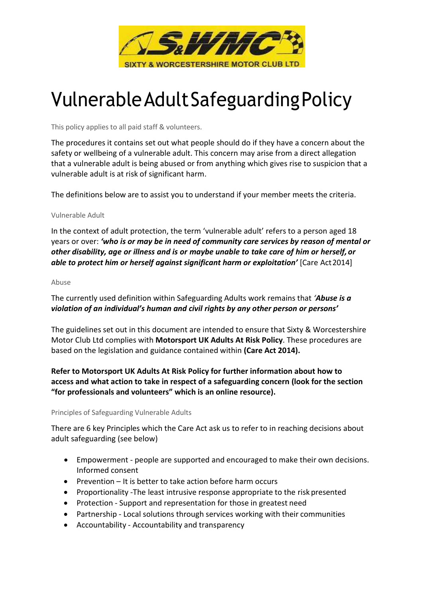

# Vulnerable Adult Safeguarding Policy

This policy applies to all paid staff & volunteers.

The procedures it contains set out what people should do if they have a concern about the safety or wellbeing of a vulnerable adult. This concern may arise from a direct allegation that a vulnerable adult is being abused or from anything which gives rise to suspicion that a vulnerable adult is at risk of significant harm.

The definitions below are to assist you to understand if your member meets the criteria.

#### Vulnerable Adult

In the context of adult protection, the term 'vulnerable adult' refers to a person aged 18 years or over: 'who is or may be in need of community care services by reason of mental or other disability, age or illness and is or maybe unable to take care of him or herself, or able to protect him or herself against significant harm or exploitation' [Care Act 2014]

#### Abuse

The currently used definition within Safeguarding Adults work remains that 'Abuse is  $a$ violation of an individual's human and civil rights by any other person or persons'

The guidelines set out in this document are intended to ensure that Sixty & Worcestershire Motor Club Ltd complies with Motorsport UK Adults At Risk Policy. These procedures are based on the legislation and guidance contained within (Care Act 2014).

Refer to Motorsport UK Adults At Risk Policy for further information about how to access and what action to take in respect of a safeguarding concern (look for the section "for professionals and volunteers" which is an online resource).

## Principles of Safeguarding Vulnerable Adults

There are 6 key Principles which the Care Act ask us to refer to in reaching decisions about adult safeguarding (see below)

- Empowerment people are supported and encouraged to make their own decisions. Informed consent
- **•** Prevention It is better to take action before harm occurs
- Proportionality -The least intrusive response appropriate to the risk presented
- Protection Support and representation for those in greatest need
- Partnership Local solutions through services working with their communities
- Accountability Accountability and transparency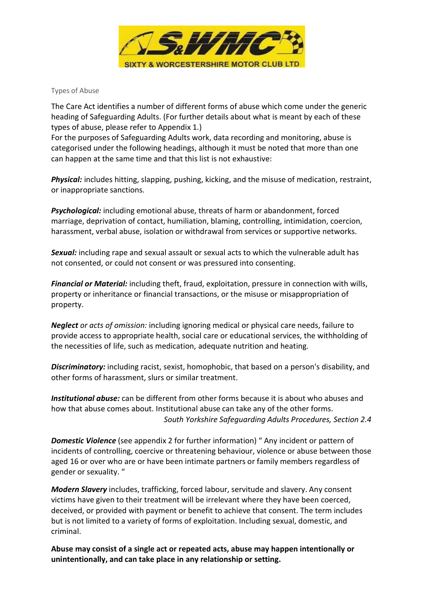

## Types of Abuse

The Care Act identifies a number of different forms of abuse which come under the generic heading of Safeguarding Adults. (For further details about what is meant by each of these types of abuse, please refer to Appendix 1.)

For the purposes of Safeguarding Adults work, data recording and monitoring, abuse is categorised under the following headings, although it must be noted that more than one can happen at the same time and that this list is not exhaustive:

Physical: includes hitting, slapping, pushing, kicking, and the misuse of medication, restraint, or inappropriate sanctions.

**Psychological:** including emotional abuse, threats of harm or abandonment, forced marriage, deprivation of contact, humiliation, blaming, controlling, intimidation, coercion, harassment, verbal abuse, isolation or withdrawal from services or supportive networks.

Sexual: including rape and sexual assault or sexual acts to which the vulnerable adult has not consented, or could not consent or was pressured into consenting.

Financial or Material: including theft, fraud, exploitation, pressure in connection with wills, property or inheritance or financial transactions, or the misuse or misappropriation of property.

**Neglect** or acts of omission: including ignoring medical or physical care needs, failure to provide access to appropriate health, social care or educational services, the withholding of the necessities of life, such as medication, adequate nutrition and heating.

**Discriminatory:** including racist, sexist, homophobic, that based on a person's disability, and other forms of harassment, slurs or similar treatment.

Institutional abuse: can be different from other forms because it is about who abuses and how that abuse comes about. Institutional abuse can take any of the other forms. South Yorkshire Safeguarding Adults Procedures, Section 2.4

**Domestic Violence** (see appendix 2 for further information) " Any incident or pattern of incidents of controlling, coercive or threatening behaviour, violence or abuse between those aged 16 or over who are or have been intimate partners or family members regardless of gender or sexuality. "

Modern Slavery includes, trafficking, forced labour, servitude and slavery. Any consent victims have given to their treatment will be irrelevant where they have been coerced, deceived, or provided with payment or benefit to achieve that consent. The term includes but is not limited to a variety of forms of exploitation. Including sexual, domestic, and criminal.

Abuse may consist of a single act or repeated acts, abuse may happen intentionally or unintentionally, and can take place in any relationship or setting.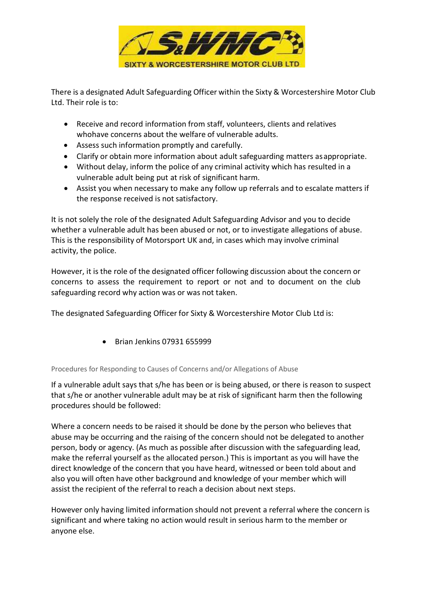

There is a designated Adult Safeguarding Officer within the Sixty & Worcestershire Motor Club Ltd. Their role is to:

- Receive and record information from staff, volunteers, clients and relatives who have concerns about the welfare of vulnerable adults.
- Assess such information promptly and carefully.
- Clarify or obtain more information about adult safeguarding matters as appropriate.
- Without delay, inform the police of any criminal activity which has resulted in a vulnerable adult being put at risk of significant harm.
- Assist you when necessary to make any follow up referrals and to escalate matters if the response received is not satisfactory.

It is not solely the role of the designated Adult Safeguarding Advisor and you to decide whether a vulnerable adult has been abused or not, or to investigate allegations of abuse. This is the responsibility of Motorsport UK and, in cases which may involve criminal activity, the police.

However, it is the role of the designated officer following discussion about the concern or concerns to assess the requirement to report or not and to document on the club safeguarding record why action was or was not taken.

The designated Safeguarding Officer for Sixty & Worcestershire Motor Club Ltd is:

Brian Jenkins 07931 655999

## Procedures for Responding to Causes of Concerns and/or Allegations of Abuse

If a vulnerable adult says that s/he has been or is being abused, or there is reason to suspect that s/he or another vulnerable adult may be at risk of significant harm then the following procedures should be followed:

Where a concern needs to be raised it should be done by the person who believes that abuse may be occurring and the raising of the concern should not be delegated to another person, body or agency. (As much as possible after discussion with the safeguarding lead, make the referral yourself as the allocated person.) This is important as you will have the direct knowledge of the concern that you have heard, witnessed or been told about and also you will often have other background and knowledge of your member which will assist the recipient of the referral to reach a decision about next steps.

However only having limited information should not prevent a referral where the concern is significant and where taking no action would result in serious harm to the member or anyone else.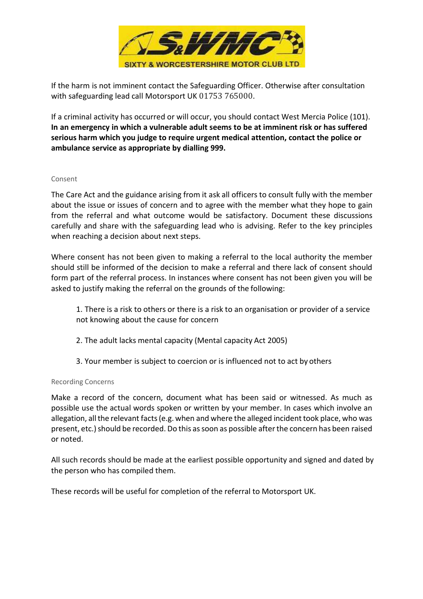

If the harm is not imminent contact the Safeguarding Officer. Otherwise after consultation with safeguarding lead call Motorsport UK 01753 765000.

If a criminal activity has occurred or will occur, you should contact West Mercia Police (101). In an emergency in which a vulnerable adult seems to be at imminent risk or has suffered serious harm which you judge to require urgent medical attention, contact the police or ambulance service as appropriate by dialling 999.

#### Consent

The Care Act and the guidance arising from it ask all officers to consult fully with the member about the issue or issues of concern and to agree with the member what they hope to gain from the referral and what outcome would be satisfactory. Document these discussions carefully and share with the safeguarding lead who is advising. Refer to the key principles when reaching a decision about next steps.

Where consent has not been given to making a referral to the local authority the member should still be informed of the decision to make a referral and there lack of consent should form part of the referral process. In instances where consent has not been given you will be asked to justify making the referral on the grounds of the following:

1. There is a risk to others or there is a risk to an organisation or provider of a service not knowing about the cause for concern

- 2. The adult lacks mental capacity (Mental capacity Act 2005)
- 3. Your member is subject to coercion or is influenced not to act by others

## Recording Concerns

Make a record of the concern, document what has been said or witnessed. As much as possible use the actual words spoken or written by your member. In cases which involve an allegation, all the relevant facts (e.g. when and where the alleged incident took place, who was present, etc.) should be recorded. Do this as soon as possible after the concern has been raised or noted.

All such records should be made at the earliest possible opportunity and signed and dated by the person who has compiled them.

These records will be useful for completion of the referral to Motorsport UK.